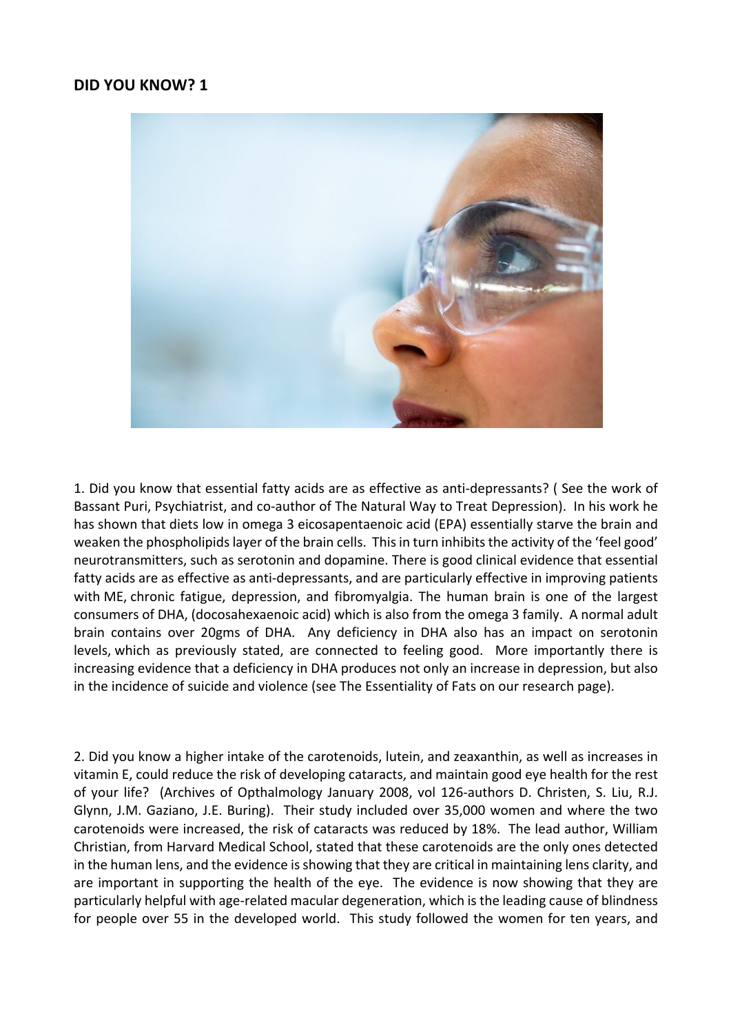## **DID YOU KNOW? 1**



1. Did you know that essential fatty acids are as effective as anti-depressants? ( See the work of Bassant Puri, Psychiatrist, and co-author of The Natural Way to Treat Depression). In his work he has shown that diets low in omega 3 eicosapentaenoic acid (EPA) essentially starve the brain and weaken the phospholipids layer of the brain cells. This in turn inhibits the activity of the 'feel good' neurotransmitters, such as serotonin and dopamine. There is good clinical evidence that essential fatty acids are as effective as anti-depressants, and are particularly effective in improving patients with ME, chronic fatigue, depression, and fibromyalgia. The human brain is one of the largest consumers of DHA, (docosahexaenoic acid) which is also from the omega 3 family. A normal adult brain contains over 20gms of DHA. Any deficiency in DHA also has an impact on serotonin levels, which as previously stated, are connected to feeling good. More importantly there is increasing evidence that a deficiency in DHA produces not only an increase in depression, but also in the incidence of suicide and violence (see The Essentiality of Fats on our research page).

2. Did you know a higher intake of the carotenoids, lutein, and zeaxanthin, as well as increases in vitamin E, could reduce the risk of developing cataracts, and maintain good eye health for the rest of your life? (Archives of Opthalmology January 2008, vol 126-authors D. Christen, S. Liu, R.J. Glynn, J.M. Gaziano, J.E. Buring). Their study included over 35,000 women and where the two carotenoids were increased, the risk of cataracts was reduced by 18%. The lead author, William Christian, from Harvard Medical School, stated that these carotenoids are the only ones detected in the human lens, and the evidence is showing that they are critical in maintaining lens clarity, and are important in supporting the health of the eye. The evidence is now showing that they are particularly helpful with age-related macular degeneration, which is the leading cause of blindness for people over 55 in the developed world. This study followed the women for ten years, and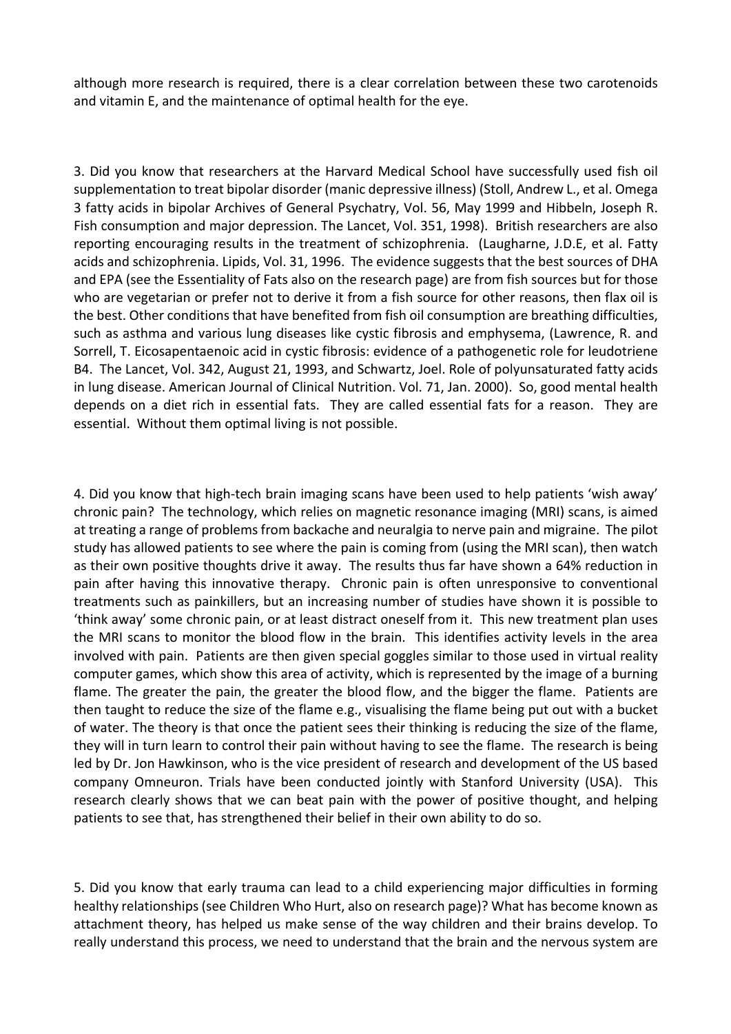although more research is required, there is a clear correlation between these two carotenoids and vitamin E, and the maintenance of optimal health for the eye.

3. Did you know that researchers at the Harvard Medical School have successfully used fish oil supplementation to treat bipolar disorder (manic depressive illness) (Stoll, Andrew L., et al. Omega 3 fatty acids in bipolar Archives of General Psychatry, Vol. 56, May 1999 and Hibbeln, Joseph R. Fish consumption and major depression. The Lancet, Vol. 351, 1998). British researchers are also reporting encouraging results in the treatment of schizophrenia. (Laugharne, J.D.E, et al. Fatty acids and schizophrenia. Lipids, Vol. 31, 1996. The evidence suggests that the best sources of DHA and EPA (see the Essentiality of Fats also on the research page) are from fish sources but for those who are vegetarian or prefer not to derive it from a fish source for other reasons, then flax oil is the best. Other conditions that have benefited from fish oil consumption are breathing difficulties, such as asthma and various lung diseases like cystic fibrosis and emphysema, (Lawrence, R. and Sorrell, T. Eicosapentaenoic acid in cystic fibrosis: evidence of a pathogenetic role for leudotriene B4. The Lancet, Vol. 342, August 21, 1993, and Schwartz, Joel. Role of polyunsaturated fatty acids in lung disease. American Journal of Clinical Nutrition. Vol. 71, Jan. 2000). So, good mental health depends on a diet rich in essential fats. They are called essential fats for a reason. They are essential. Without them optimal living is not possible.

4. Did you know that high-tech brain imaging scans have been used to help patients 'wish away' chronic pain? The technology, which relies on magnetic resonance imaging (MRI) scans, is aimed at treating a range of problems from backache and neuralgia to nerve pain and migraine. The pilot study has allowed patients to see where the pain is coming from (using the MRI scan), then watch as their own positive thoughts drive it away. The results thus far have shown a 64% reduction in pain after having this innovative therapy. Chronic pain is often unresponsive to conventional treatments such as painkillers, but an increasing number of studies have shown it is possible to 'think away' some chronic pain, or at least distract oneself from it. This new treatment plan uses the MRI scans to monitor the blood flow in the brain. This identifies activity levels in the area involved with pain. Patients are then given special goggles similar to those used in virtual reality computer games, which show this area of activity, which is represented by the image of a burning flame. The greater the pain, the greater the blood flow, and the bigger the flame. Patients are then taught to reduce the size of the flame e.g., visualising the flame being put out with a bucket of water. The theory is that once the patient sees their thinking is reducing the size of the flame, they will in turn learn to control their pain without having to see the flame. The research is being led by Dr. Jon Hawkinson, who is the vice president of research and development of the US based company Omneuron. Trials have been conducted jointly with Stanford University (USA). This research clearly shows that we can beat pain with the power of positive thought, and helping patients to see that, has strengthened their belief in their own ability to do so.

5. Did you know that early trauma can lead to a child experiencing major difficulties in forming healthy relationships (see Children Who Hurt, also on research page)? What has become known as attachment theory, has helped us make sense of the way children and their brains develop. To really understand this process, we need to understand that the brain and the nervous system are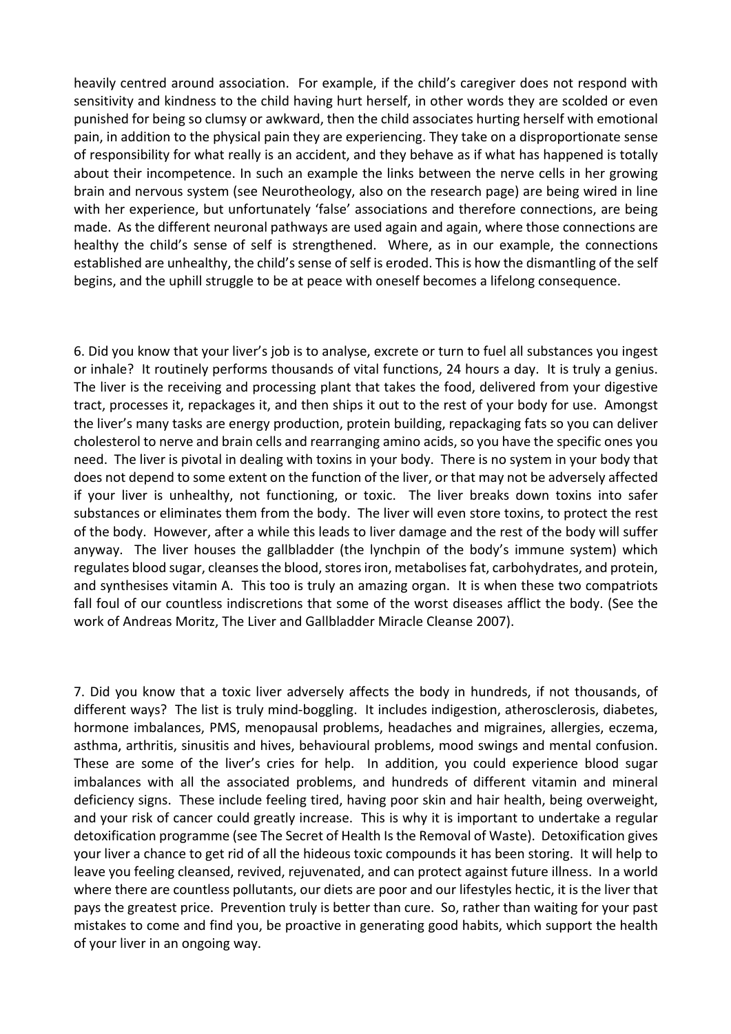heavily centred around association. For example, if the child's caregiver does not respond with sensitivity and kindness to the child having hurt herself, in other words they are scolded or even punished for being so clumsy or awkward, then the child associates hurting herself with emotional pain, in addition to the physical pain they are experiencing. They take on a disproportionate sense of responsibility for what really is an accident, and they behave as if what has happened is totally about their incompetence. In such an example the links between the nerve cells in her growing brain and nervous system (see Neurotheology, also on the research page) are being wired in line with her experience, but unfortunately 'false' associations and therefore connections, are being made. As the different neuronal pathways are used again and again, where those connections are healthy the child's sense of self is strengthened. Where, as in our example, the connections established are unhealthy, the child's sense of self is eroded. This is how the dismantling of the self begins, and the uphill struggle to be at peace with oneself becomes a lifelong consequence.

6. Did you know that your liver's job is to analyse, excrete or turn to fuel all substances you ingest or inhale? It routinely performs thousands of vital functions, 24 hours a day. It is truly a genius. The liver is the receiving and processing plant that takes the food, delivered from your digestive tract, processes it, repackages it, and then ships it out to the rest of your body for use. Amongst the liver's many tasks are energy production, protein building, repackaging fats so you can deliver cholesterol to nerve and brain cells and rearranging amino acids, so you have the specific ones you need. The liver is pivotal in dealing with toxins in your body. There is no system in your body that does not depend to some extent on the function of the liver, or that may not be adversely affected if your liver is unhealthy, not functioning, or toxic. The liver breaks down toxins into safer substances or eliminates them from the body. The liver will even store toxins, to protect the rest of the body. However, after a while this leads to liver damage and the rest of the body will suffer anyway. The liver houses the gallbladder (the lynchpin of the body's immune system) which regulates blood sugar, cleanses the blood, stores iron, metabolises fat, carbohydrates, and protein, and synthesises vitamin A. This too is truly an amazing organ. It is when these two compatriots fall foul of our countless indiscretions that some of the worst diseases afflict the body. (See the work of Andreas Moritz, The Liver and Gallbladder Miracle Cleanse 2007).

7. Did you know that a toxic liver adversely affects the body in hundreds, if not thousands, of different ways? The list is truly mind-boggling. It includes indigestion, atherosclerosis, diabetes, hormone imbalances, PMS, menopausal problems, headaches and migraines, allergies, eczema, asthma, arthritis, sinusitis and hives, behavioural problems, mood swings and mental confusion. These are some of the liver's cries for help. In addition, you could experience blood sugar imbalances with all the associated problems, and hundreds of different vitamin and mineral deficiency signs. These include feeling tired, having poor skin and hair health, being overweight, and your risk of cancer could greatly increase. This is why it is important to undertake a regular detoxification programme (see The Secret of Health Is the Removal of Waste). Detoxification gives your liver a chance to get rid of all the hideous toxic compounds it has been storing. It will help to leave you feeling cleansed, revived, rejuvenated, and can protect against future illness. In a world where there are countless pollutants, our diets are poor and our lifestyles hectic, it is the liver that pays the greatest price. Prevention truly is better than cure. So, rather than waiting for your past mistakes to come and find you, be proactive in generating good habits, which support the health of your liver in an ongoing way.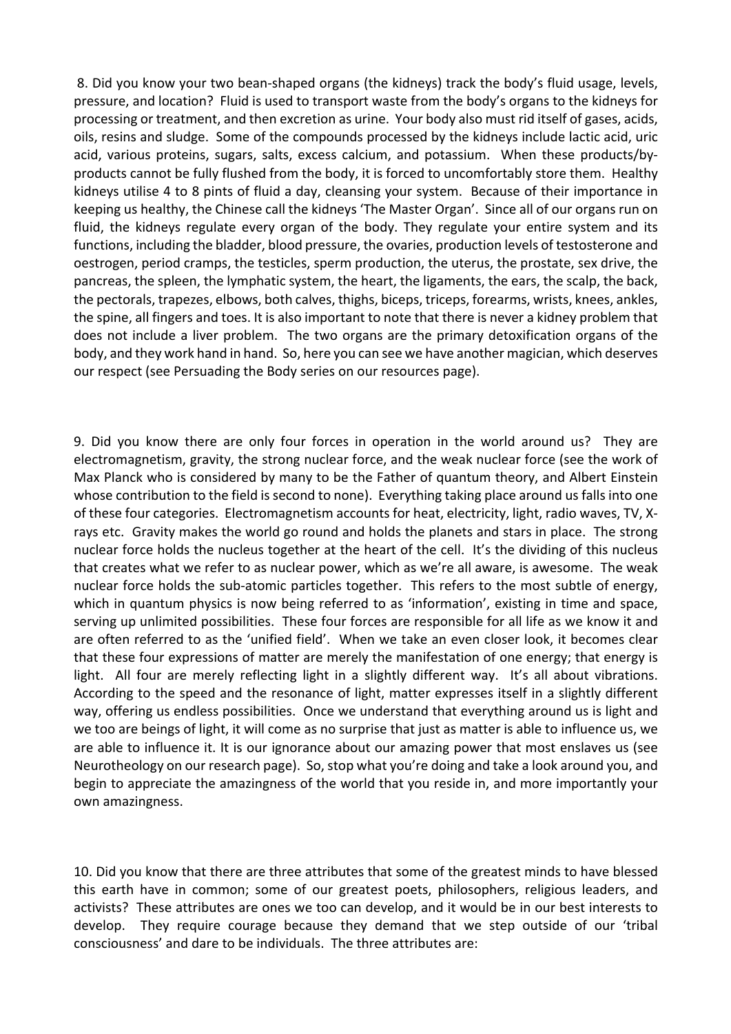8. Did you know your two bean-shaped organs (the kidneys) track the body's fluid usage, levels, pressure, and location? Fluid is used to transport waste from the body's organs to the kidneys for processing or treatment, and then excretion as urine. Your body also must rid itself of gases, acids, oils, resins and sludge. Some of the compounds processed by the kidneys include lactic acid, uric acid, various proteins, sugars, salts, excess calcium, and potassium. When these products/byproducts cannot be fully flushed from the body, it is forced to uncomfortably store them. Healthy kidneys utilise 4 to 8 pints of fluid a day, cleansing your system. Because of their importance in keeping us healthy, the Chinese call the kidneys 'The Master Organ'. Since all of our organs run on fluid, the kidneys regulate every organ of the body. They regulate your entire system and its functions, including the bladder, blood pressure, the ovaries, production levels of testosterone and oestrogen, period cramps, the testicles, sperm production, the uterus, the prostate, sex drive, the pancreas, the spleen, the lymphatic system, the heart, the ligaments, the ears, the scalp, the back, the pectorals, trapezes, elbows, both calves, thighs, biceps, triceps, forearms, wrists, knees, ankles, the spine, all fingers and toes. It is also important to note that there is never a kidney problem that does not include a liver problem. The two organs are the primary detoxification organs of the body, and they work hand in hand. So, here you can see we have another magician, which deserves our respect (see Persuading the Body series on our resources page).

9. Did you know there are only four forces in operation in the world around us? They are electromagnetism, gravity, the strong nuclear force, and the weak nuclear force (see the work of Max Planck who is considered by many to be the Father of quantum theory, and Albert Einstein whose contribution to the field is second to none). Everything taking place around us falls into one of these four categories. Electromagnetism accounts for heat, electricity, light, radio waves, TV, Xrays etc. Gravity makes the world go round and holds the planets and stars in place. The strong nuclear force holds the nucleus together at the heart of the cell. It's the dividing of this nucleus that creates what we refer to as nuclear power, which as we're all aware, is awesome. The weak nuclear force holds the sub-atomic particles together. This refers to the most subtle of energy, which in quantum physics is now being referred to as 'information', existing in time and space, serving up unlimited possibilities. These four forces are responsible for all life as we know it and are often referred to as the 'unified field'. When we take an even closer look, it becomes clear that these four expressions of matter are merely the manifestation of one energy; that energy is light. All four are merely reflecting light in a slightly different way. It's all about vibrations. According to the speed and the resonance of light, matter expresses itself in a slightly different way, offering us endless possibilities. Once we understand that everything around us is light and we too are beings of light, it will come as no surprise that just as matter is able to influence us, we are able to influence it. It is our ignorance about our amazing power that most enslaves us (see Neurotheology on our research page). So, stop what you're doing and take a look around you, and begin to appreciate the amazingness of the world that you reside in, and more importantly your own amazingness.

10. Did you know that there are three attributes that some of the greatest minds to have blessed this earth have in common; some of our greatest poets, philosophers, religious leaders, and activists? These attributes are ones we too can develop, and it would be in our best interests to develop. They require courage because they demand that we step outside of our 'tribal consciousness' and dare to be individuals. The three attributes are: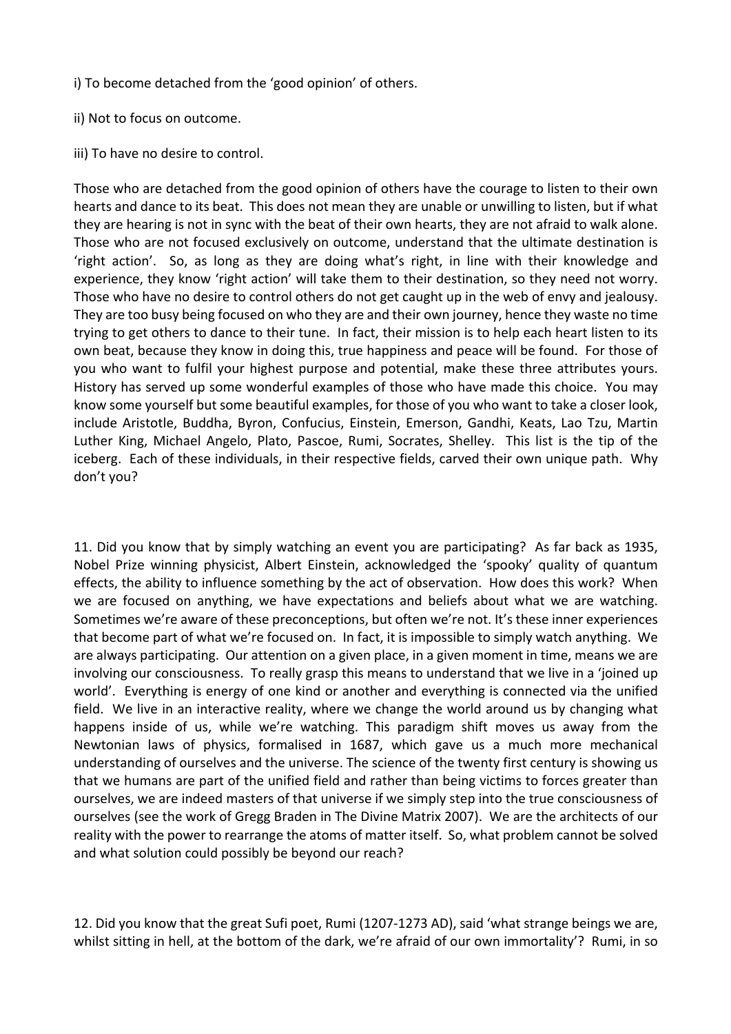i) To become detached from the 'good opinion' of others.

- ii) Not to focus on outcome.
- iii) To have no desire to control.

Those who are detached from the good opinion of others have the courage to listen to their own hearts and dance to its beat. This does not mean they are unable or unwilling to listen, but if what they are hearing is not in sync with the beat of their own hearts, they are not afraid to walk alone. Those who are not focused exclusively on outcome, understand that the ultimate destination is 'right action'. So, as long as they are doing what's right, in line with their knowledge and experience, they know 'right action' will take them to their destination, so they need not worry. Those who have no desire to control others do not get caught up in the web of envy and jealousy. They are too busy being focused on who they are and their own journey, hence they waste no time trying to get others to dance to their tune. In fact, their mission is to help each heart listen to its own beat, because they know in doing this, true happiness and peace will be found. For those of you who want to fulfil your highest purpose and potential, make these three attributes yours. History has served up some wonderful examples of those who have made this choice. You may know some yourself but some beautiful examples, for those of you who want to take a closer look, include Aristotle, Buddha, Byron, Confucius, Einstein, Emerson, Gandhi, Keats, Lao Tzu, Martin Luther King, Michael Angelo, Plato, Pascoe, Rumi, Socrates, Shelley. This list is the tip of the iceberg. Each of these individuals, in their respective fields, carved their own unique path. Why don't you?

11. Did you know that by simply watching an event you are participating? As far back as 1935, Nobel Prize winning physicist, Albert Einstein, acknowledged the 'spooky' quality of quantum effects, the ability to influence something by the act of observation. How does this work? When we are focused on anything, we have expectations and beliefs about what we are watching. Sometimes we're aware of these preconceptions, but often we're not. It's these inner experiences that become part of what we're focused on. In fact, it is impossible to simply watch anything. We are always participating. Our attention on a given place, in a given moment in time, means we are involving our consciousness. To really grasp this means to understand that we live in a 'joined up world'. Everything is energy of one kind or another and everything is connected via the unified field. We live in an interactive reality, where we change the world around us by changing what happens inside of us, while we're watching. This paradigm shift moves us away from the Newtonian laws of physics, formalised in 1687, which gave us a much more mechanical understanding of ourselves and the universe. The science of the twenty first century is showing us that we humans are part of the unified field and rather than being victims to forces greater than ourselves, we are indeed masters of that universe if we simply step into the true consciousness of ourselves (see the work of Gregg Braden in The Divine Matrix 2007). We are the architects of our reality with the power to rearrange the atoms of matter itself. So, what problem cannot be solved and what solution could possibly be beyond our reach?

12. Did you know that the great Sufi poet, Rumi (1207-1273 AD), said 'what strange beings we are, whilst sitting in hell, at the bottom of the dark, we're afraid of our own immortality'? Rumi, in so